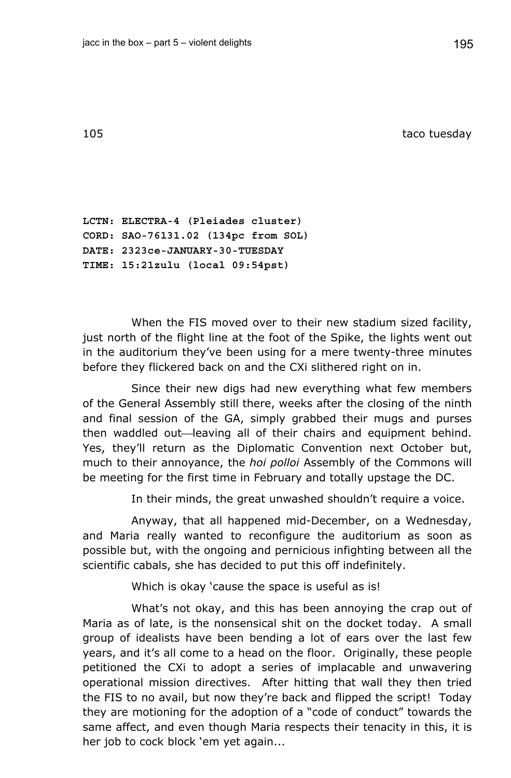105 taco tuesday

**LCTN: ELECTRA-4 (Pleiades cluster) CORD: SAO-76131.02 (134pc from SOL) DATE: 2323ce-JANUARY-30-TUESDAY TIME: 15:21zulu (local 09:54pst)** 

When the FIS moved over to their new stadium sized facility, just north of the flight line at the foot of the Spike, the lights went out in the auditorium they've been using for a mere twenty-three minutes before they flickered back on and the CXi slithered right on in.

Since their new digs had new everything what few members of the General Assembly still there, weeks after the closing of the ninth and final session of the GA, simply grabbed their mugs and purses then waddled out—leaving all of their chairs and equipment behind. Yes, they'll return as the Diplomatic Convention next October but, much to their annoyance, the *hoi polloi* Assembly of the Commons will be meeting for the first time in February and totally upstage the DC.

In their minds, the great unwashed shouldn't require a voice.

Anyway, that all happened mid-December, on a Wednesday, and Maria really wanted to reconfigure the auditorium as soon as possible but, with the ongoing and pernicious infighting between all the scientific cabals, she has decided to put this off indefinitely.

Which is okay 'cause the space is useful as is!

What's not okay, and this has been annoying the crap out of Maria as of late, is the nonsensical shit on the docket today. A small group of idealists have been bending a lot of ears over the last few years, and it's all come to a head on the floor. Originally, these people petitioned the CXi to adopt a series of implacable and unwavering operational mission directives. After hitting that wall they then tried the FIS to no avail, but now they're back and flipped the script! Today they are motioning for the adoption of a "code of conduct" towards the same affect, and even though Maria respects their tenacity in this, it is her job to cock block 'em yet again...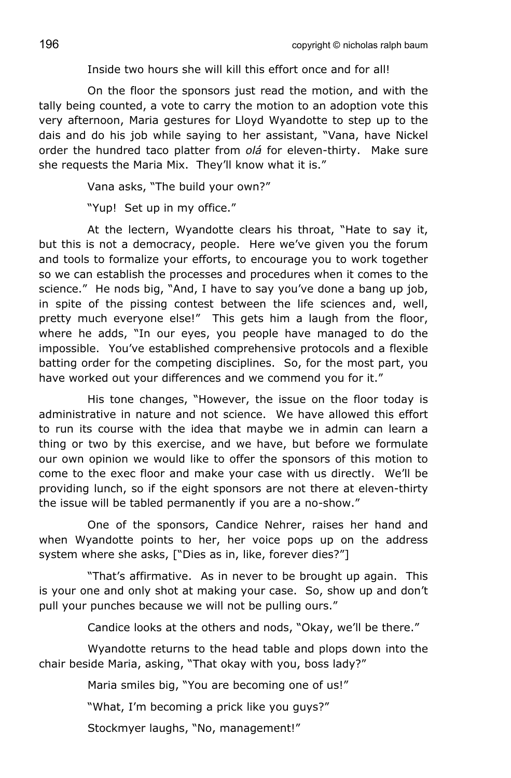Inside two hours she will kill this effort once and for all!

On the floor the sponsors just read the motion, and with the tally being counted, a vote to carry the motion to an adoption vote this very afternoon, Maria gestures for Lloyd Wyandotte to step up to the dais and do his job while saying to her assistant, "Vana, have Nickel order the hundred taco platter from *olá* for eleven-thirty. Make sure she requests the Maria Mix. They'll know what it is."

Vana asks, "The build your own?"

"Yup! Set up in my office."

At the lectern, Wyandotte clears his throat, "Hate to say it, but this is not a democracy, people. Here we've given you the forum and tools to formalize your efforts, to encourage you to work together so we can establish the processes and procedures when it comes to the science." He nods big, "And, I have to say you've done a bang up job, in spite of the pissing contest between the life sciences and, well, pretty much everyone else!" This gets him a laugh from the floor, where he adds, "In our eyes, you people have managed to do the impossible. You've established comprehensive protocols and a flexible batting order for the competing disciplines. So, for the most part, you have worked out your differences and we commend you for it."

His tone changes, "However, the issue on the floor today is administrative in nature and not science. We have allowed this effort to run its course with the idea that maybe we in admin can learn a thing or two by this exercise, and we have, but before we formulate our own opinion we would like to offer the sponsors of this motion to come to the exec floor and make your case with us directly. We'll be providing lunch, so if the eight sponsors are not there at eleven-thirty the issue will be tabled permanently if you are a no-show."

One of the sponsors, Candice Nehrer, raises her hand and when Wyandotte points to her, her voice pops up on the address system where she asks, ["Dies as in, like, forever dies?"]

"That's affirmative. As in never to be brought up again. This is your one and only shot at making your case. So, show up and don't pull your punches because we will not be pulling ours."

Candice looks at the others and nods, "Okay, we'll be there."

Wyandotte returns to the head table and plops down into the chair beside Maria, asking, "That okay with you, boss lady?"

Maria smiles big, "You are becoming one of us!"

"What, I'm becoming a prick like you guys?"

Stockmyer laughs, "No, management!"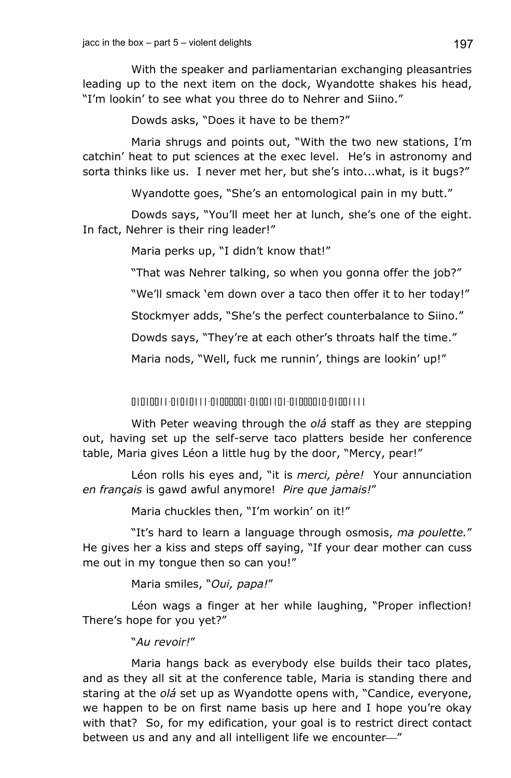With the speaker and parliamentarian exchanging pleasantries leading up to the next item on the dock, Wyandotte shakes his head, "I'm lookin' to see what you three do to Nehrer and Siino."

Dowds asks, "Does it have to be them?"

Maria shrugs and points out, "With the two new stations, I'm catchin' heat to put sciences at the exec level. He's in astronomy and sorta thinks like us. I never met her, but she's into...what, is it bugs?"

Wyandotte goes, "She's an entomological pain in my butt."

Dowds says, "You'll meet her at lunch, she's one of the eight. In fact, Nehrer is their ring leader!"

Maria perks up, "I didn't know that!"

"That was Nehrer talking, so when you gonna offer the job?"

"We'll smack 'em down over a taco then offer it to her today!"

Stockmyer adds, "She's the perfect counterbalance to Siino."

Dowds says, "They're at each other's throats half the time."

Maria nods, "Well, fuck me runnin', things are lookin' up!"

01010011-01010111-01000001-01001101-01000010-01001111

With Peter weaving through the *olá* staff as they are stepping out, having set up the self-serve taco platters beside her conference table, Maria gives Léon a little hug by the door, "Mercy, pear!"

Léon rolls his eyes and, "it is *merci, père!* Your annunciation *en français* is gawd awful anymore! *Pire que jamais!*"

Maria chuckles then, "I'm workin' on it!"

"It's hard to learn a language through osmosis, *ma poulette.*" He gives her a kiss and steps off saying, "If your dear mother can cuss me out in my tongue then so can you!"

Maria smiles, "*Oui, papa!*"

Léon wags a finger at her while laughing, "Proper inflection! There's hope for you yet?"

## "*Au revoir!*"

Maria hangs back as everybody else builds their taco plates, and as they all sit at the conference table, Maria is standing there and staring at the *olá* set up as Wyandotte opens with, "Candice, everyone, we happen to be on first name basis up here and I hope you're okay with that? So, for my edification, your goal is to restrict direct contact between us and any and all intelligent life we encounter-"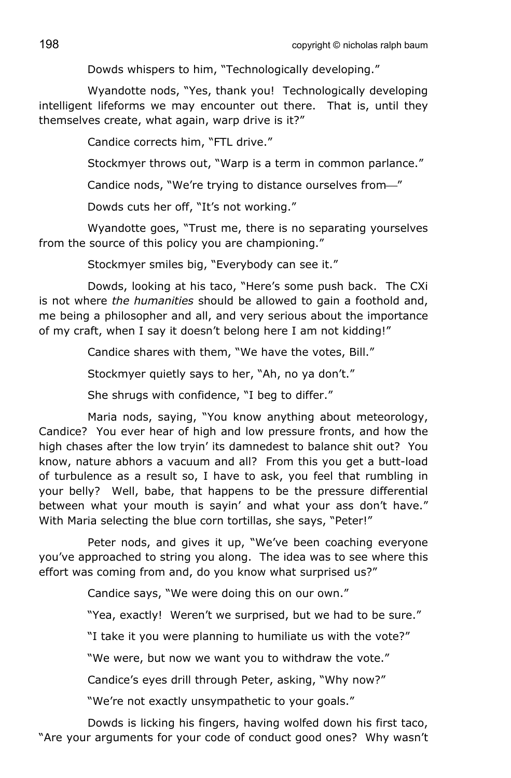Dowds whispers to him, "Technologically developing."

Wyandotte nods, "Yes, thank you! Technologically developing intelligent lifeforms we may encounter out there. That is, until they themselves create, what again, warp drive is it?"

Candice corrects him, "FTL drive."

Stockmyer throws out, "Warp is a term in common parlance."

Candice nods, "We're trying to distance ourselves from-"

Dowds cuts her off, "It's not working."

Wyandotte goes, "Trust me, there is no separating yourselves from the source of this policy you are championing."

Stockmyer smiles big, "Everybody can see it."

Dowds, looking at his taco, "Here's some push back. The CXi is not where *the humanities* should be allowed to gain a foothold and, me being a philosopher and all, and very serious about the importance of my craft, when I say it doesn't belong here I am not kidding!"

Candice shares with them, "We have the votes, Bill."

Stockmyer quietly says to her, "Ah, no ya don't."

She shrugs with confidence, "I beg to differ."

Maria nods, saying, "You know anything about meteorology, Candice? You ever hear of high and low pressure fronts, and how the high chases after the low tryin' its damnedest to balance shit out? You know, nature abhors a vacuum and all? From this you get a butt-load of turbulence as a result so, I have to ask, you feel that rumbling in your belly? Well, babe, that happens to be the pressure differential between what your mouth is sayin' and what your ass don't have." With Maria selecting the blue corn tortillas, she says, "Peter!"

Peter nods, and gives it up, "We've been coaching everyone you've approached to string you along. The idea was to see where this effort was coming from and, do you know what surprised us?"

Candice says, "We were doing this on our own."

"Yea, exactly! Weren't we surprised, but we had to be sure."

"I take it you were planning to humiliate us with the vote?"

"We were, but now we want you to withdraw the vote."

Candice's eyes drill through Peter, asking, "Why now?"

"We're not exactly unsympathetic to your goals."

Dowds is licking his fingers, having wolfed down his first taco, "Are your arguments for your code of conduct good ones? Why wasn't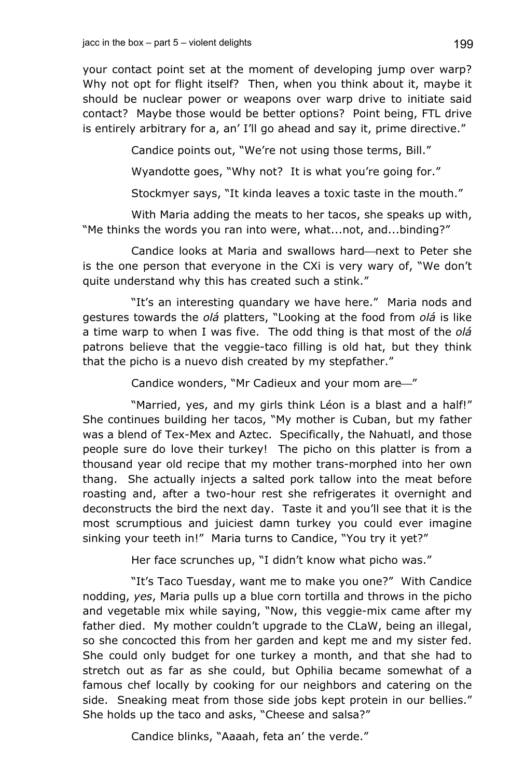your contact point set at the moment of developing jump over warp? Why not opt for flight itself? Then, when you think about it, maybe it should be nuclear power or weapons over warp drive to initiate said contact? Maybe those would be better options? Point being, FTL drive is entirely arbitrary for a, an' I'll go ahead and say it, prime directive."

Candice points out, "We're not using those terms, Bill."

Wyandotte goes, "Why not? It is what you're going for."

Stockmyer says, "It kinda leaves a toxic taste in the mouth."

With Maria adding the meats to her tacos, she speaks up with, "Me thinks the words you ran into were, what...not, and...binding?"

Candice looks at Maria and swallows hard—next to Peter she is the one person that everyone in the CXi is very wary of, "We don't quite understand why this has created such a stink."

"It's an interesting quandary we have here." Maria nods and gestures towards the *olá* platters, "Looking at the food from *olá* is like a time warp to when I was five. The odd thing is that most of the *olá* patrons believe that the veggie-taco filling is old hat, but they think that the picho is a nuevo dish created by my stepfather."

Candice wonders, "Mr Cadieux and your mom are—"

"Married, yes, and my girls think Léon is a blast and a half!" She continues building her tacos, "My mother is Cuban, but my father was a blend of Tex-Mex and Aztec. Specifically, the Nahuatl, and those people sure do love their turkey! The picho on this platter is from a thousand year old recipe that my mother trans-morphed into her own thang. She actually injects a salted pork tallow into the meat before roasting and, after a two-hour rest she refrigerates it overnight and deconstructs the bird the next day. Taste it and you'll see that it is the most scrumptious and juiciest damn turkey you could ever imagine sinking your teeth in!" Maria turns to Candice, "You try it yet?"

Her face scrunches up, "I didn't know what picho was."

"It's Taco Tuesday, want me to make you one?" With Candice nodding, *yes*, Maria pulls up a blue corn tortilla and throws in the picho and vegetable mix while saying, "Now, this veggie-mix came after my father died. My mother couldn't upgrade to the CLaW, being an illegal, so she concocted this from her garden and kept me and my sister fed. She could only budget for one turkey a month, and that she had to stretch out as far as she could, but Ophilia became somewhat of a famous chef locally by cooking for our neighbors and catering on the side. Sneaking meat from those side jobs kept protein in our bellies." She holds up the taco and asks, "Cheese and salsa?"

Candice blinks, "Aaaah, feta an' the verde."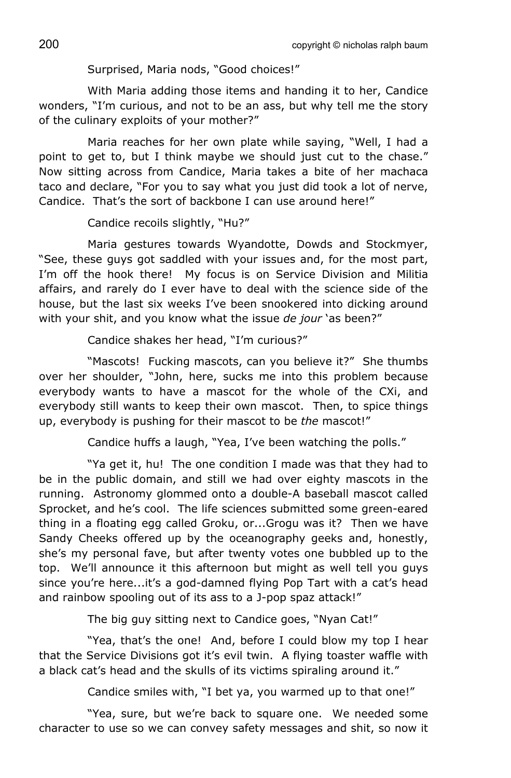Surprised, Maria nods, "Good choices!"

With Maria adding those items and handing it to her, Candice wonders, "I'm curious, and not to be an ass, but why tell me the story of the culinary exploits of your mother?"

Maria reaches for her own plate while saying, "Well, I had a point to get to, but I think maybe we should just cut to the chase." Now sitting across from Candice, Maria takes a bite of her machaca taco and declare, "For you to say what you just did took a lot of nerve, Candice. That's the sort of backbone I can use around here!"

Candice recoils slightly, "Hu?"

Maria gestures towards Wyandotte, Dowds and Stockmyer, "See, these guys got saddled with your issues and, for the most part, I'm off the hook there! My focus is on Service Division and Militia affairs, and rarely do I ever have to deal with the science side of the house, but the last six weeks I've been snookered into dicking around with your shit, and you know what the issue *de jour* 'as been?"

Candice shakes her head, "I'm curious?"

"Mascots! Fucking mascots, can you believe it?" She thumbs over her shoulder, "John, here, sucks me into this problem because everybody wants to have a mascot for the whole of the CXi, and everybody still wants to keep their own mascot. Then, to spice things up, everybody is pushing for their mascot to be *the* mascot!"

Candice huffs a laugh, "Yea, I've been watching the polls."

"Ya get it, hu! The one condition I made was that they had to be in the public domain, and still we had over eighty mascots in the running. Astronomy glommed onto a double-A baseball mascot called Sprocket, and he's cool. The life sciences submitted some green-eared thing in a floating egg called Groku, or...Grogu was it? Then we have Sandy Cheeks offered up by the oceanography geeks and, honestly, she's my personal fave, but after twenty votes one bubbled up to the top. We'll announce it this afternoon but might as well tell you guys since you're here...it's a god-damned flying Pop Tart with a cat's head and rainbow spooling out of its ass to a J-pop spaz attack!"

The big guy sitting next to Candice goes, "Nyan Cat!"

"Yea, that's the one! And, before I could blow my top I hear that the Service Divisions got it's evil twin. A flying toaster waffle with a black cat's head and the skulls of its victims spiraling around it."

Candice smiles with, "I bet ya, you warmed up to that one!"

"Yea, sure, but we're back to square one. We needed some character to use so we can convey safety messages and shit, so now it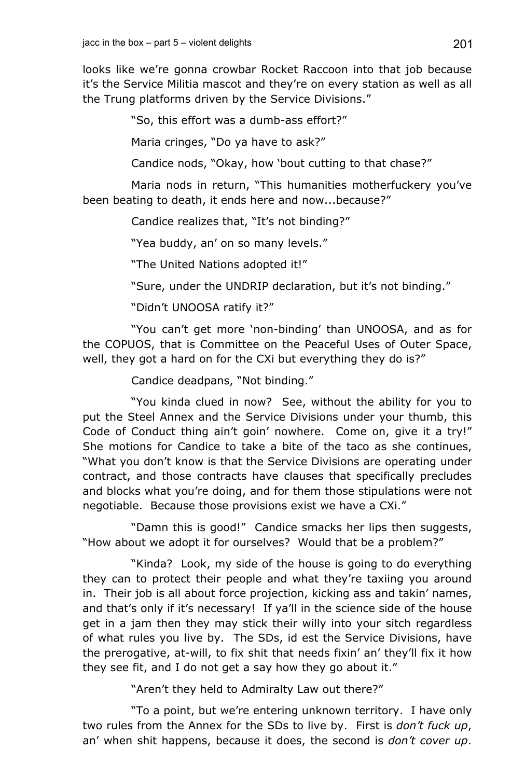looks like we're gonna crowbar Rocket Raccoon into that job because it's the Service Militia mascot and they're on every station as well as all the Trung platforms driven by the Service Divisions."

"So, this effort was a dumb-ass effort?"

Maria cringes, "Do ya have to ask?"

Candice nods, "Okay, how 'bout cutting to that chase?"

Maria nods in return, "This humanities motherfuckery you've been beating to death, it ends here and now...because?"

Candice realizes that, "It's not binding?"

"Yea buddy, an' on so many levels."

"The United Nations adopted it!"

"Sure, under the UNDRIP declaration, but it's not binding."

"Didn't UNOOSA ratify it?"

"You can't get more 'non-binding' than UNOOSA, and as for the COPUOS, that is Committee on the Peaceful Uses of Outer Space, well, they got a hard on for the CXi but everything they do is?"

Candice deadpans, "Not binding."

"You kinda clued in now? See, without the ability for you to put the Steel Annex and the Service Divisions under your thumb, this Code of Conduct thing ain't goin' nowhere. Come on, give it a try!" She motions for Candice to take a bite of the taco as she continues, "What you don't know is that the Service Divisions are operating under contract, and those contracts have clauses that specifically precludes and blocks what you're doing, and for them those stipulations were not negotiable. Because those provisions exist we have a CXi."

"Damn this is good!" Candice smacks her lips then suggests, "How about we adopt it for ourselves? Would that be a problem?"

"Kinda? Look, my side of the house is going to do everything they can to protect their people and what they're taxiing you around in. Their job is all about force projection, kicking ass and takin' names, and that's only if it's necessary! If ya'll in the science side of the house get in a jam then they may stick their willy into your sitch regardless of what rules you live by. The SDs, id est the Service Divisions, have the prerogative, at-will, to fix shit that needs fixin' an' they'll fix it how they see fit, and I do not get a say how they go about it."

"Aren't they held to Admiralty Law out there?"

"To a point, but we're entering unknown territory. I have only two rules from the Annex for the SDs to live by. First is *don't fuck up*, an' when shit happens, because it does, the second is *don't cover up*.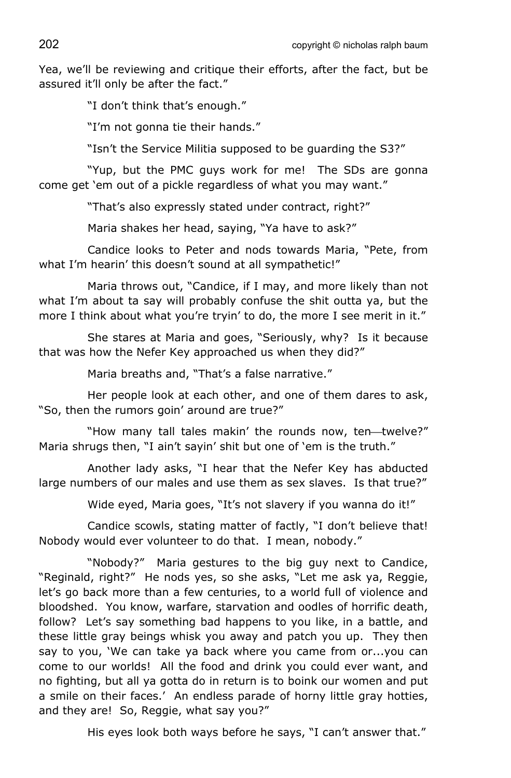Yea, we'll be reviewing and critique their efforts, after the fact, but be assured it'll only be after the fact."

"I don't think that's enough."

"I'm not gonna tie their hands."

"Isn't the Service Militia supposed to be guarding the S3?"

"Yup, but the PMC guys work for me! The SDs are gonna come get 'em out of a pickle regardless of what you may want."

"That's also expressly stated under contract, right?"

Maria shakes her head, saying, "Ya have to ask?"

Candice looks to Peter and nods towards Maria, "Pete, from what I'm hearin' this doesn't sound at all sympathetic!"

Maria throws out, "Candice, if I may, and more likely than not what I'm about ta say will probably confuse the shit outta ya, but the more I think about what you're tryin' to do, the more I see merit in it."

She stares at Maria and goes, "Seriously, why? Is it because that was how the Nefer Key approached us when they did?"

Maria breaths and, "That's a false narrative."

Her people look at each other, and one of them dares to ask, "So, then the rumors goin' around are true?"

"How many tall tales makin' the rounds now, ten-twelve?" Maria shrugs then, "I ain't sayin' shit but one of 'em is the truth."

Another lady asks, "I hear that the Nefer Key has abducted large numbers of our males and use them as sex slaves. Is that true?"

Wide eyed, Maria goes, "It's not slavery if you wanna do it!"

Candice scowls, stating matter of factly, "I don't believe that! Nobody would ever volunteer to do that. I mean, nobody."

"Nobody?" Maria gestures to the big guy next to Candice, "Reginald, right?" He nods yes, so she asks, "Let me ask ya, Reggie, let's go back more than a few centuries, to a world full of violence and bloodshed. You know, warfare, starvation and oodles of horrific death, follow? Let's say something bad happens to you like, in a battle, and these little gray beings whisk you away and patch you up. They then say to you, 'We can take ya back where you came from or...you can come to our worlds! All the food and drink you could ever want, and no fighting, but all ya gotta do in return is to boink our women and put a smile on their faces.' An endless parade of horny little gray hotties, and they are! So, Reggie, what say you?"

His eyes look both ways before he says, "I can't answer that."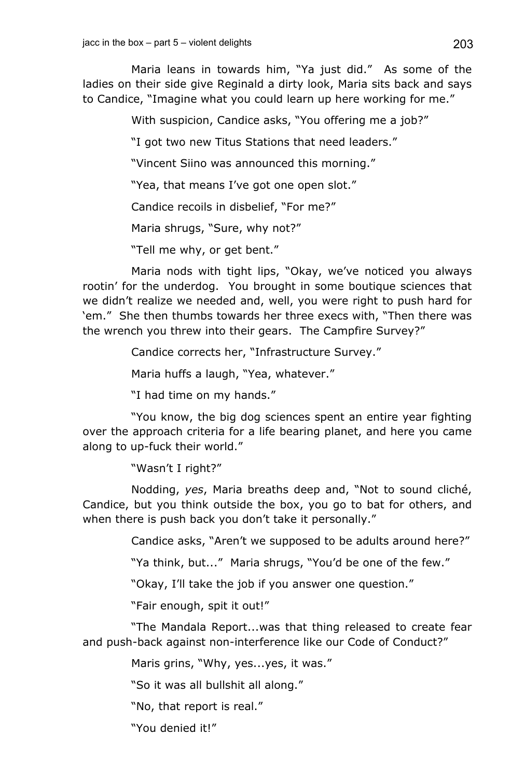Maria leans in towards him, "Ya just did." As some of the ladies on their side give Reginald a dirty look, Maria sits back and says to Candice, "Imagine what you could learn up here working for me."

With suspicion, Candice asks, "You offering me a job?"

"I got two new Titus Stations that need leaders."

"Vincent Siino was announced this morning."

"Yea, that means I've got one open slot."

Candice recoils in disbelief, "For me?"

Maria shrugs, "Sure, why not?"

"Tell me why, or get bent."

Maria nods with tight lips, "Okay, we've noticed you always rootin' for the underdog. You brought in some boutique sciences that we didn't realize we needed and, well, you were right to push hard for 'em." She then thumbs towards her three execs with, "Then there was the wrench you threw into their gears. The Campfire Survey?"

Candice corrects her, "Infrastructure Survey."

Maria huffs a laugh, "Yea, whatever."

"I had time on my hands."

"You know, the big dog sciences spent an entire year fighting over the approach criteria for a life bearing planet, and here you came along to up-fuck their world."

"Wasn't I right?"

Nodding, *yes*, Maria breaths deep and, "Not to sound cliché, Candice, but you think outside the box, you go to bat for others, and when there is push back you don't take it personally."

Candice asks, "Aren't we supposed to be adults around here?"

"Ya think, but..." Maria shrugs, "You'd be one of the few."

"Okay, I'll take the job if you answer one question."

"Fair enough, spit it out!"

"The Mandala Report...was that thing released to create fear and push-back against non-interference like our Code of Conduct?"

Maris grins, "Why, yes...yes, it was."

"So it was all bullshit all along."

"No, that report is real."

"You denied it!"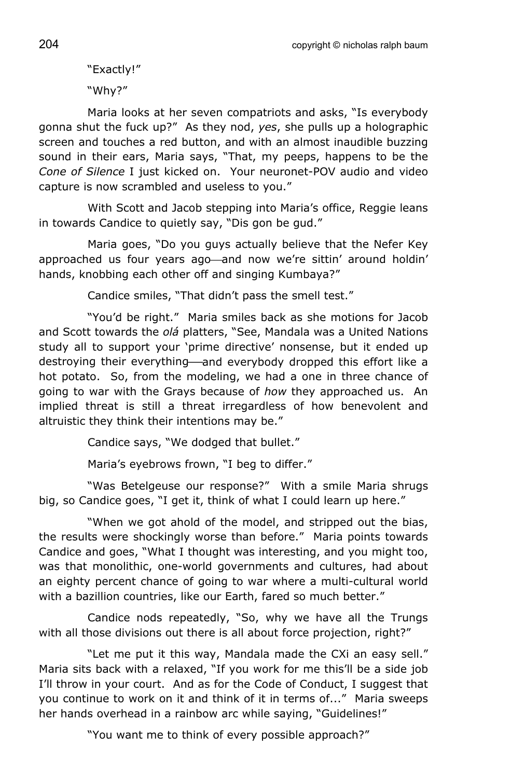"Exactly!"

"Why?"

Maria looks at her seven compatriots and asks, "Is everybody gonna shut the fuck up?" As they nod, *yes*, she pulls up a holographic screen and touches a red button, and with an almost inaudible buzzing sound in their ears, Maria says, "That, my peeps, happens to be the *Cone of Silence* I just kicked on. Your neuronet-POV audio and video capture is now scrambled and useless to you."

With Scott and Jacob stepping into Maria's office, Reggie leans in towards Candice to quietly say, "Dis gon be gud."

Maria goes, "Do you guys actually believe that the Nefer Key approached us four years ago—and now we're sittin' around holdin' hands, knobbing each other off and singing Kumbaya?"

Candice smiles, "That didn't pass the smell test."

"You'd be right." Maria smiles back as she motions for Jacob and Scott towards the *olá* platters, "See, Mandala was a United Nations study all to support your 'prime directive' nonsense, but it ended up destroying their everything—and everybody dropped this effort like a hot potato. So, from the modeling, we had a one in three chance of going to war with the Grays because of *how* they approached us. An implied threat is still a threat irregardless of how benevolent and altruistic they think their intentions may be."

Candice says, "We dodged that bullet."

Maria's eyebrows frown, "I beg to differ."

"Was Betelgeuse our response?" With a smile Maria shrugs big, so Candice goes, "I get it, think of what I could learn up here."

"When we got ahold of the model, and stripped out the bias, the results were shockingly worse than before." Maria points towards Candice and goes, "What I thought was interesting, and you might too, was that monolithic, one-world governments and cultures, had about an eighty percent chance of going to war where a multi-cultural world with a bazillion countries, like our Earth, fared so much better."

Candice nods repeatedly, "So, why we have all the Trungs with all those divisions out there is all about force projection, right?"

"Let me put it this way, Mandala made the CXi an easy sell." Maria sits back with a relaxed, "If you work for me this'll be a side job I'll throw in your court. And as for the Code of Conduct, I suggest that you continue to work on it and think of it in terms of..." Maria sweeps her hands overhead in a rainbow arc while saying, "Guidelines!"

"You want me to think of every possible approach?"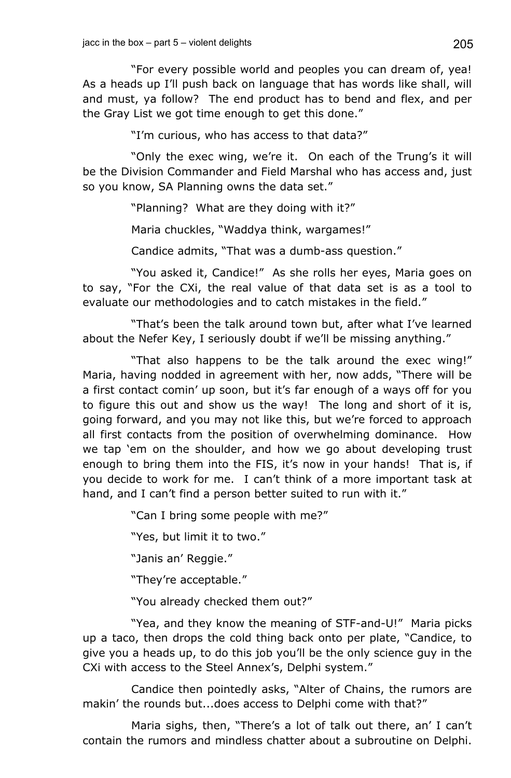"For every possible world and peoples you can dream of, yea! As a heads up I'll push back on language that has words like shall, will and must, ya follow? The end product has to bend and flex, and per the Gray List we got time enough to get this done."

"I'm curious, who has access to that data?"

"Only the exec wing, we're it. On each of the Trung's it will be the Division Commander and Field Marshal who has access and, just so you know, SA Planning owns the data set."

"Planning? What are they doing with it?"

Maria chuckles, "Waddya think, wargames!"

Candice admits, "That was a dumb-ass question."

"You asked it, Candice!" As she rolls her eyes, Maria goes on to say, "For the CXi, the real value of that data set is as a tool to evaluate our methodologies and to catch mistakes in the field."

"That's been the talk around town but, after what I've learned about the Nefer Key, I seriously doubt if we'll be missing anything."

"That also happens to be the talk around the exec wing!" Maria, having nodded in agreement with her, now adds, "There will be a first contact comin' up soon, but it's far enough of a ways off for you to figure this out and show us the way! The long and short of it is, going forward, and you may not like this, but we're forced to approach all first contacts from the position of overwhelming dominance. How we tap 'em on the shoulder, and how we go about developing trust enough to bring them into the FIS, it's now in your hands! That is, if you decide to work for me. I can't think of a more important task at hand, and I can't find a person better suited to run with it."

"Can I bring some people with me?"

"Yes, but limit it to two."

"Janis an' Reggie."

"They're acceptable."

"You already checked them out?"

"Yea, and they know the meaning of STF-and-U!" Maria picks up a taco, then drops the cold thing back onto per plate, "Candice, to give you a heads up, to do this job you'll be the only science guy in the CXi with access to the Steel Annex's, Delphi system."

Candice then pointedly asks, "Alter of Chains, the rumors are makin' the rounds but...does access to Delphi come with that?"

Maria sighs, then, "There's a lot of talk out there, an' I can't contain the rumors and mindless chatter about a subroutine on Delphi.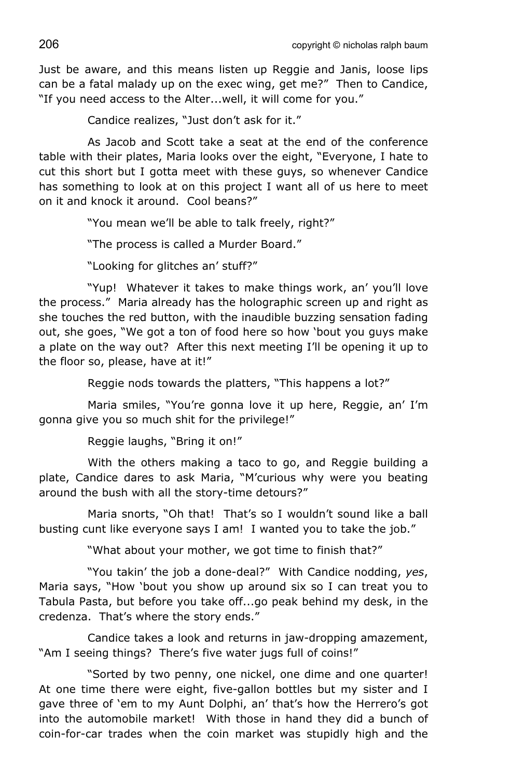Just be aware, and this means listen up Reggie and Janis, loose lips can be a fatal malady up on the exec wing, get me?" Then to Candice, "If you need access to the Alter...well, it will come for you."

Candice realizes, "Just don't ask for it."

As Jacob and Scott take a seat at the end of the conference table with their plates, Maria looks over the eight, "Everyone, I hate to cut this short but I gotta meet with these guys, so whenever Candice has something to look at on this project I want all of us here to meet on it and knock it around. Cool beans?"

"You mean we'll be able to talk freely, right?"

"The process is called a Murder Board."

"Looking for glitches an' stuff?"

"Yup! Whatever it takes to make things work, an' you'll love the process." Maria already has the holographic screen up and right as she touches the red button, with the inaudible buzzing sensation fading out, she goes, "We got a ton of food here so how 'bout you guys make a plate on the way out? After this next meeting I'll be opening it up to the floor so, please, have at it!"

Reggie nods towards the platters, "This happens a lot?"

Maria smiles, "You're gonna love it up here, Reggie, an' I'm gonna give you so much shit for the privilege!"

Reggie laughs, "Bring it on!"

With the others making a taco to go, and Reggie building a plate, Candice dares to ask Maria, "M'curious why were you beating around the bush with all the story-time detours?"

Maria snorts, "Oh that! That's so I wouldn't sound like a ball busting cunt like everyone says I am! I wanted you to take the job."

"What about your mother, we got time to finish that?"

"You takin' the job a done-deal?" With Candice nodding, *yes*, Maria says, "How 'bout you show up around six so I can treat you to Tabula Pasta, but before you take off...go peak behind my desk, in the credenza. That's where the story ends."

Candice takes a look and returns in jaw-dropping amazement, "Am I seeing things? There's five water jugs full of coins!"

"Sorted by two penny, one nickel, one dime and one quarter! At one time there were eight, five-gallon bottles but my sister and I gave three of 'em to my Aunt Dolphi, an' that's how the Herrero's got into the automobile market! With those in hand they did a bunch of coin-for-car trades when the coin market was stupidly high and the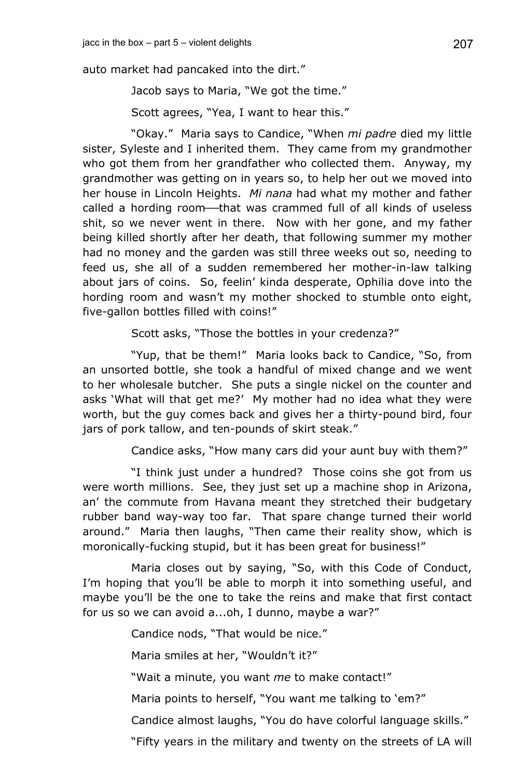auto market had pancaked into the dirt."

Jacob says to Maria, "We got the time."

Scott agrees, "Yea, I want to hear this."

"Okay." Maria says to Candice, "When *mi padre* died my little sister, Syleste and I inherited them. They came from my grandmother who got them from her grandfather who collected them. Anyway, my grandmother was getting on in years so, to help her out we moved into her house in Lincoln Heights. *Mi nana* had what my mother and father called a hording room-that was crammed full of all kinds of useless shit, so we never went in there. Now with her gone, and my father being killed shortly after her death, that following summer my mother had no money and the garden was still three weeks out so, needing to feed us, she all of a sudden remembered her mother-in-law talking about jars of coins. So, feelin' kinda desperate, Ophilia dove into the hording room and wasn't my mother shocked to stumble onto eight, five-gallon bottles filled with coins!"

Scott asks, "Those the bottles in your credenza?"

"Yup, that be them!" Maria looks back to Candice, "So, from an unsorted bottle, she took a handful of mixed change and we went to her wholesale butcher. She puts a single nickel on the counter and asks 'What will that get me?' My mother had no idea what they were worth, but the guy comes back and gives her a thirty-pound bird, four jars of pork tallow, and ten-pounds of skirt steak."

Candice asks, "How many cars did your aunt buy with them?"

"I think just under a hundred? Those coins she got from us were worth millions. See, they just set up a machine shop in Arizona, an' the commute from Havana meant they stretched their budgetary rubber band way-way too far. That spare change turned their world around." Maria then laughs, "Then came their reality show, which is moronically-fucking stupid, but it has been great for business!"

Maria closes out by saying, "So, with this Code of Conduct, I'm hoping that you'll be able to morph it into something useful, and maybe you'll be the one to take the reins and make that first contact for us so we can avoid a...oh, I dunno, maybe a war?"

Candice nods, "That would be nice."

Maria smiles at her, "Wouldn't it?"

"Wait a minute, you want *me* to make contact!"

Maria points to herself, "You want me talking to 'em?"

Candice almost laughs, "You do have colorful language skills."

"Fifty years in the military and twenty on the streets of LA will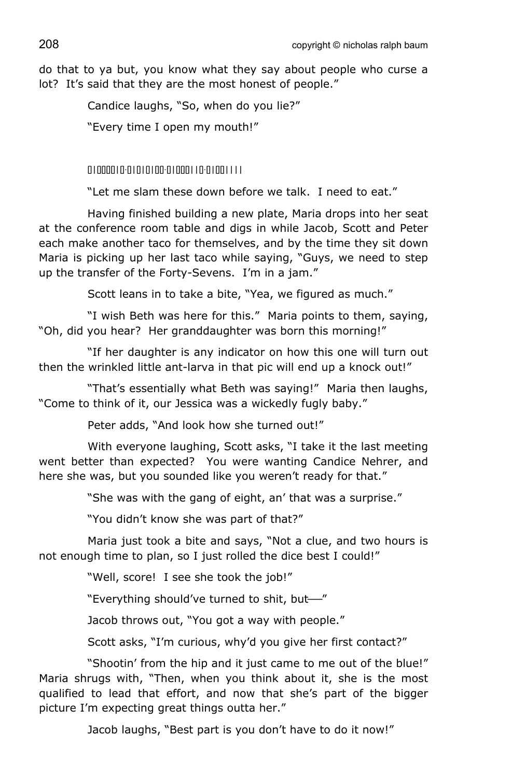do that to ya but, you know what they say about people who curse a lot? It's said that they are the most honest of people."

Candice laughs, "So, when do you lie?"

"Every time I open my mouth!"

01000010-01010100-01000110-01001111

"Let me slam these down before we talk. I need to eat."

Having finished building a new plate, Maria drops into her seat at the conference room table and digs in while Jacob, Scott and Peter each make another taco for themselves, and by the time they sit down Maria is picking up her last taco while saying, "Guys, we need to step up the transfer of the Forty-Sevens. I'm in a jam."

Scott leans in to take a bite, "Yea, we figured as much."

"I wish Beth was here for this." Maria points to them, saying, "Oh, did you hear? Her granddaughter was born this morning!"

"If her daughter is any indicator on how this one will turn out then the wrinkled little ant-larva in that pic will end up a knock out!"

"That's essentially what Beth was saying!" Maria then laughs, "Come to think of it, our Jessica was a wickedly fugly baby."

Peter adds, "And look how she turned out!"

With everyone laughing, Scott asks, "I take it the last meeting went better than expected? You were wanting Candice Nehrer, and here she was, but you sounded like you weren't ready for that."

"She was with the gang of eight, an' that was a surprise."

"You didn't know she was part of that?"

Maria just took a bite and says, "Not a clue, and two hours is not enough time to plan, so I just rolled the dice best I could!"

"Well, score! I see she took the job!"

"Everything should've turned to shit, but-"

Jacob throws out, "You got a way with people."

Scott asks, "I'm curious, why'd you give her first contact?"

"Shootin' from the hip and it just came to me out of the blue!" Maria shrugs with, "Then, when you think about it, she is the most qualified to lead that effort, and now that she's part of the bigger picture I'm expecting great things outta her."

Jacob laughs, "Best part is you don't have to do it now!"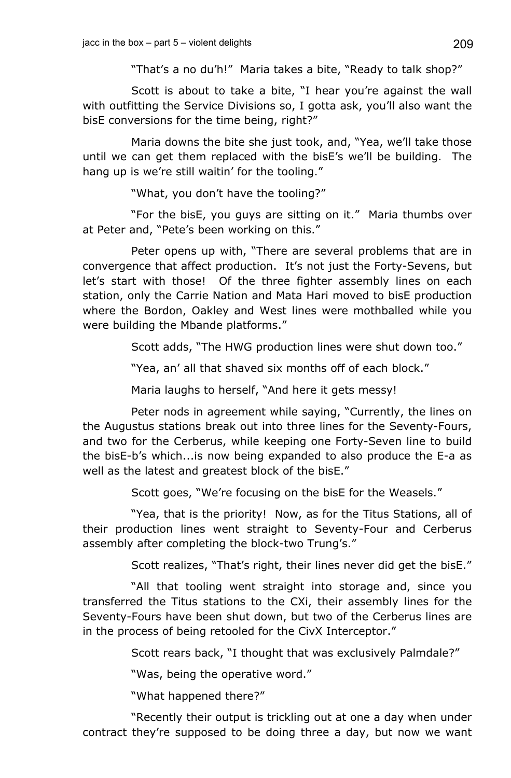"That's a no du'h!" Maria takes a bite, "Ready to talk shop?"

Scott is about to take a bite, "I hear you're against the wall with outfitting the Service Divisions so, I gotta ask, you'll also want the bisE conversions for the time being, right?"

Maria downs the bite she just took, and, "Yea, we'll take those until we can get them replaced with the bisE's we'll be building. The hang up is we're still waitin' for the tooling."

"What, you don't have the tooling?"

"For the bisE, you guys are sitting on it." Maria thumbs over at Peter and, "Pete's been working on this."

Peter opens up with, "There are several problems that are in convergence that affect production. It's not just the Forty-Sevens, but let's start with those! Of the three fighter assembly lines on each station, only the Carrie Nation and Mata Hari moved to bisE production where the Bordon, Oakley and West lines were mothballed while you were building the Mbande platforms."

Scott adds, "The HWG production lines were shut down too."

"Yea, an' all that shaved six months off of each block."

Maria laughs to herself, "And here it gets messy!

Peter nods in agreement while saying, "Currently, the lines on the Augustus stations break out into three lines for the Seventy-Fours, and two for the Cerberus, while keeping one Forty-Seven line to build the bisE-b's which...is now being expanded to also produce the E-a as well as the latest and greatest block of the bisE."

Scott goes, "We're focusing on the bisE for the Weasels."

"Yea, that is the priority! Now, as for the Titus Stations, all of their production lines went straight to Seventy-Four and Cerberus assembly after completing the block-two Trung's."

Scott realizes, "That's right, their lines never did get the bisE."

"All that tooling went straight into storage and, since you transferred the Titus stations to the CXi, their assembly lines for the Seventy-Fours have been shut down, but two of the Cerberus lines are in the process of being retooled for the CivX Interceptor."

Scott rears back, "I thought that was exclusively Palmdale?"

"Was, being the operative word."

"What happened there?"

"Recently their output is trickling out at one a day when under contract they're supposed to be doing three a day, but now we want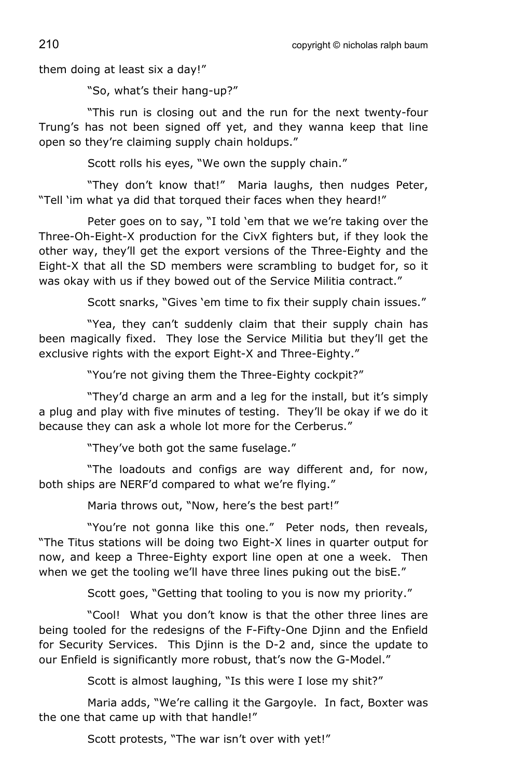them doing at least six a day!"

"So, what's their hang-up?"

"This run is closing out and the run for the next twenty-four Trung's has not been signed off yet, and they wanna keep that line open so they're claiming supply chain holdups."

Scott rolls his eyes, "We own the supply chain."

"They don't know that!" Maria laughs, then nudges Peter, "Tell 'im what ya did that torqued their faces when they heard!"

Peter goes on to say, "I told 'em that we we're taking over the Three-Oh-Eight-X production for the CivX fighters but, if they look the other way, they'll get the export versions of the Three-Eighty and the Eight-X that all the SD members were scrambling to budget for, so it was okay with us if they bowed out of the Service Militia contract."

Scott snarks, "Gives 'em time to fix their supply chain issues."

"Yea, they can't suddenly claim that their supply chain has been magically fixed. They lose the Service Militia but they'll get the exclusive rights with the export Eight-X and Three-Eighty."

"You're not giving them the Three-Eighty cockpit?"

"They'd charge an arm and a leg for the install, but it's simply a plug and play with five minutes of testing. They'll be okay if we do it because they can ask a whole lot more for the Cerberus."

"They've both got the same fuselage."

"The loadouts and configs are way different and, for now, both ships are NERF'd compared to what we're flying."

Maria throws out, "Now, here's the best part!"

"You're not gonna like this one." Peter nods, then reveals, "The Titus stations will be doing two Eight-X lines in quarter output for now, and keep a Three-Eighty export line open at one a week. Then when we get the tooling we'll have three lines puking out the bisE."

Scott goes, "Getting that tooling to you is now my priority."

"Cool! What you don't know is that the other three lines are being tooled for the redesigns of the F-Fifty-One Djinn and the Enfield for Security Services. This Djinn is the D-2 and, since the update to our Enfield is significantly more robust, that's now the G-Model."

Scott is almost laughing, "Is this were I lose my shit?"

Maria adds, "We're calling it the Gargoyle. In fact, Boxter was the one that came up with that handle!"

Scott protests, "The war isn't over with yet!"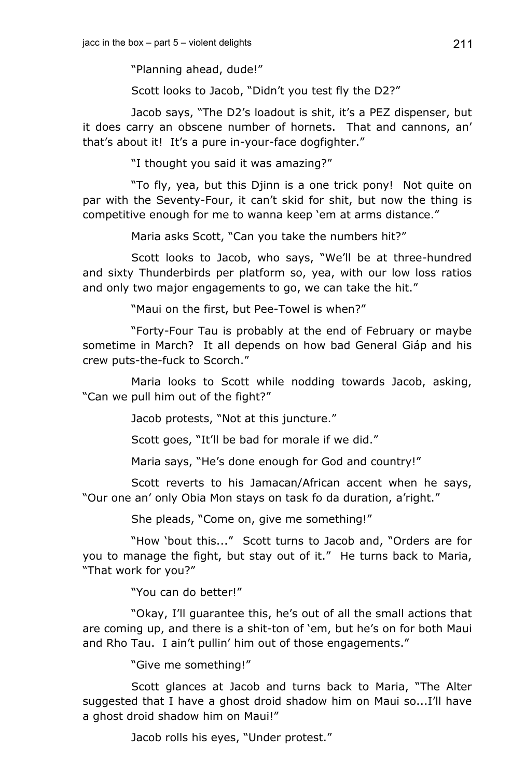"Planning ahead, dude!"

Scott looks to Jacob, "Didn't you test fly the D2?"

Jacob says, "The D2's loadout is shit, it's a PEZ dispenser, but it does carry an obscene number of hornets. That and cannons, an' that's about it! It's a pure in-your-face dogfighter."

"I thought you said it was amazing?"

"To fly, yea, but this Djinn is a one trick pony! Not quite on par with the Seventy-Four, it can't skid for shit, but now the thing is competitive enough for me to wanna keep 'em at arms distance."

Maria asks Scott, "Can you take the numbers hit?"

Scott looks to Jacob, who says, "We'll be at three-hundred and sixty Thunderbirds per platform so, yea, with our low loss ratios and only two major engagements to go, we can take the hit."

"Maui on the first, but Pee-Towel is when?"

"Forty-Four Tau is probably at the end of February or maybe sometime in March? It all depends on how bad General Giáp and his crew puts-the-fuck to Scorch."

Maria looks to Scott while nodding towards Jacob, asking, "Can we pull him out of the fight?"

Jacob protests, "Not at this juncture."

Scott goes, "It'll be bad for morale if we did."

Maria says, "He's done enough for God and country!"

Scott reverts to his Jamacan/African accent when he says, "Our one an' only Obia Mon stays on task fo da duration, a'right."

She pleads, "Come on, give me something!"

"How 'bout this..." Scott turns to Jacob and, "Orders are for you to manage the fight, but stay out of it." He turns back to Maria, "That work for you?"

"You can do better!"

"Okay, I'll guarantee this, he's out of all the small actions that are coming up, and there is a shit-ton of 'em, but he's on for both Maui and Rho Tau. I ain't pullin' him out of those engagements."

"Give me something!"

Scott glances at Jacob and turns back to Maria, "The Alter suggested that I have a ghost droid shadow him on Maui so...I'll have a ghost droid shadow him on Maui!"

Jacob rolls his eyes, "Under protest."